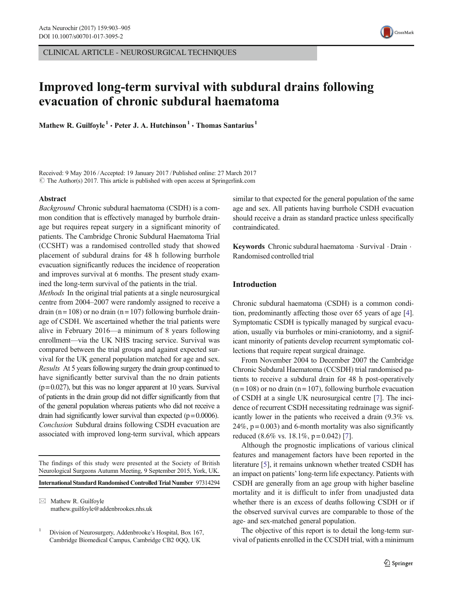CLINICAL ARTICLE - NEUROSURGICAL TECHNIQUES



# Improved long-term survival with subdural drains following evacuation of chronic subdural haematoma

Mathew R. Guilfoyle<sup>1</sup> • Peter J. A. Hutchinson<sup>1</sup> • Thomas Santarius<sup>1</sup>

Received: 9 May 2016 /Accepted: 19 January 2017 / Published online: 27 March 2017  $\odot$  The Author(s) 2017. This article is published with open access at Springerlink.com

## Abstract

Background Chronic subdural haematoma (CSDH) is a common condition that is effectively managed by burrhole drainage but requires repeat surgery in a significant minority of patients. The Cambridge Chronic Subdural Haematoma Trial (CCSHT) was a randomised controlled study that showed placement of subdural drains for 48 h following burrhole evacuation significantly reduces the incidence of reoperation and improves survival at 6 months. The present study examined the long-term survival of the patients in the trial.

Methods In the original trial patients at a single neurosurgical centre from 2004–2007 were randomly assigned to receive a drain (n = 108) or no drain (n = 107) following burrhole drainage of CSDH. We ascertained whether the trial patients were alive in February 2016—a minimum of 8 years following enrollment—via the UK NHS tracing service. Survival was compared between the trial groups and against expected survival for the UK general population matched for age and sex. Results At 5 years following surgery the drain group continued to have significantly better survival than the no drain patients  $(p= 0.027)$ , but this was no longer apparent at 10 years. Survival of patients in the drain group did not differ significantly from that of the general population whereas patients who did not receive a drain had significantly lower survival than expected  $(p= 0.0006)$ . Conclusion Subdural drains following CSDH evacuation are associated with improved long-term survival, which appears

The findings of this study were presented at the Society of British Neurological Surgeons Autumn Meeting, 9 September 2015, York, UK.

International Standard Randomised Controlled Trial Number 97314294

 $\boxtimes$  Mathew R. Guilfoyle mathew.guilfoyle@addenbrookes.nhs.uk similar to that expected for the general population of the same age and sex. All patients having burrhole CSDH evacuation should receive a drain as standard practice unless specifically contraindicated.

Keywords Chronic subdural haematoma · Survival · Drain · Randomised controlled trial

# Introduction

Chronic subdural haematoma (CSDH) is a common condition, predominantly affecting those over 65 years of age [[4\]](#page-2-0). Symptomatic CSDH is typically managed by surgical evacuation, usually via burrholes or mini-craniotomy, and a significant minority of patients develop recurrent symptomatic collections that require repeat surgical drainage.

From November 2004 to December 2007 the Cambridge Chronic Subdural Haematoma (CCSDH) trial randomised patients to receive a subdural drain for 48 h post-operatively  $(n = 108)$  or no drain  $(n = 107)$ , following burrhole evacuation of CSDH at a single UK neurosurgical centre [\[7](#page-2-0)]. The incidence of recurrent CSDH necessitating redrainage was significantly lower in the patients who received a drain (9.3% vs.  $24\%$ ,  $p = 0.003$ ) and 6-month mortality was also significantly reduced  $(8.6\% \text{ vs. } 18.1\%, \text{ p} = 0.042)$  [[7\]](#page-2-0).

Although the prognostic implications of various clinical features and management factors have been reported in the literature [\[5](#page-2-0)], it remains unknown whether treated CSDH has an impact on patients' long-term life expectancy. Patients with CSDH are generally from an age group with higher baseline mortality and it is difficult to infer from unadjusted data whether there is an excess of deaths following CSDH or if the observed survival curves are comparable to those of the age- and sex-matched general population.

The objective of this report is to detail the long-term survival of patients enrolled in the CCSDH trial, with a minimum

<sup>1</sup> Division of Neurosurgery, Addenbrooke's Hospital, Box 167, Cambridge Biomedical Campus, Cambridge CB2 0QQ, UK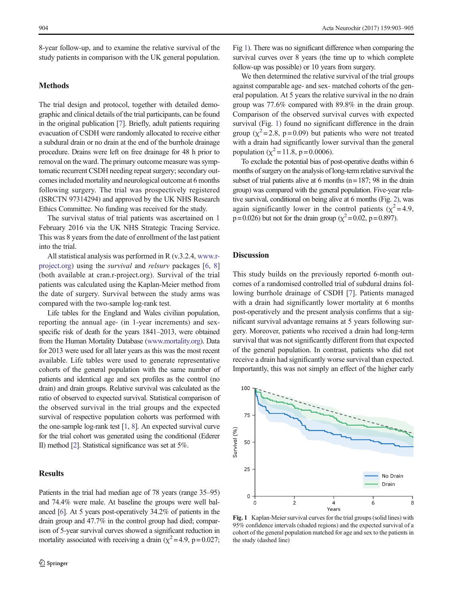8-year follow-up, and to examine the relative survival of the study patients in comparison with the UK general population.

# Methods

The trial design and protocol, together with detailed demographic and clinical details of the trial participants, can be found in the original publication [\[7](#page-2-0)]. Briefly, adult patients requiring evacuation of CSDH were randomly allocated to receive either a subdural drain or no drain at the end of the burrhole drainage procedure. Drains were left on free drainage for 48 h prior to removal on the ward. The primary outcome measure was symptomatic recurrent CSDH needing repeat surgery; secondary outcomes included mortality and neurological outcome at 6 months following surgery. The trial was prospectively registered (ISRCTN 97314294) and approved by the UK NHS Research Ethics Committee. No funding was received for the study.

The survival status of trial patients was ascertained on 1 February 2016 via the UK NHS Strategic Tracing Service. This was 8 years from the date of enrollment of the last patient into the trial.

All statistical analysis was performed in R (v.3.2.4, [www.r](http://www.r--project.org/)[project.org\)](http://www.r--project.org/) using the survival and relsurv packages [[6,](#page-2-0) [8\]](#page-2-0) (both available at cran.r-project.org). Survival of the trial patients was calculated using the Kaplan-Meier method from the date of surgery. Survival between the study arms was compared with the two-sample log-rank test.

Life tables for the England and Wales civilian population, reporting the annual age- (in 1-year increments) and sexspecific risk of death for the years 1841–2013, were obtained from the Human Mortality Database ([www.mortality.org](http://www.mortality.org/)). Data for 2013 were used for all later years as this was the most recent available. Life tables were used to generate representative cohorts of the general population with the same number of patients and identical age and sex profiles as the control (no drain) and drain groups. Relative survival was calculated as the ratio of observed to expected survival. Statistical comparison of the observed survival in the trial groups and the expected survival of respective population cohorts was performed with the one-sample log-rank test [\[1,](#page-2-0) [8\]](#page-2-0). An expected survival curve for the trial cohort was generated using the conditional (Ederer II) method [\[2\]](#page-2-0). Statistical significance was set at 5%.

# Results

Patients in the trial had median age of 78 years (range 35–95) and 74.4% were male. At baseline the groups were well balanced [\[6\]](#page-2-0). At 5 years post-operatively 34.2% of patients in the drain group and 47.7% in the control group had died; comparison of 5-year survival curves showed a significant reduction in mortality associated with receiving a drain ( $\chi^2$  = 4.9, p = 0.027;

Fig 1). There was no significant difference when comparing the survival curves over 8 years (the time up to which complete follow-up was possible) or 10 years from surgery.

We then determined the relative survival of the trial groups against comparable age- and sex- matched cohorts of the general population. At 5 years the relative survival in the no drain group was 77.6% compared with 89.8% in the drain group. Comparison of the observed survival curves with expected survival (Fig. 1) found no significant difference in the drain group ( $\chi^2$ =2.8, p=0.09) but patients who were not treated with a drain had significantly lower survival than the general population ( $\chi^2$  = 11.8, p = 0.0006).

To exclude the potential bias of post-operative deaths within 6 months of surgery on the analysis of long-term relative survival the subset of trial patients alive at 6 months ( $n=187$ ; 98 in the drain group) was compared with the general population. Five-year relative survival, conditional on being alive at 6 months (Fig. [2](#page-2-0)), was again significantly lower in the control patients ( $\chi^2$ =4.9,  $p = 0.026$ ) but not for the drain group ( $\chi^2 = 0.02$ ,  $p = 0.897$ ).

# **Discussion**

This study builds on the previously reported 6-month outcomes of a randomised controlled trial of subdural drains following burrhole drainage of CSDH [[7\]](#page-2-0). Patients managed with a drain had significantly lower mortality at 6 months post-operatively and the present analysis confirms that a significant survival advantage remains at 5 years following surgery. Moreover, patients who received a drain had long-term survival that was not significantly different from that expected of the general population. In contrast, patients who did not receive a drain had significantly worse survival than expected. Importantly, this was not simply an effect of the higher early



Fig. 1 Kaplan-Meier survival curves for the trial groups (solid lines) with 95% confidence intervals (shaded regions) and the expected survival of a cohort of the general population matched for age and sex to the patients in the study (dashed line)